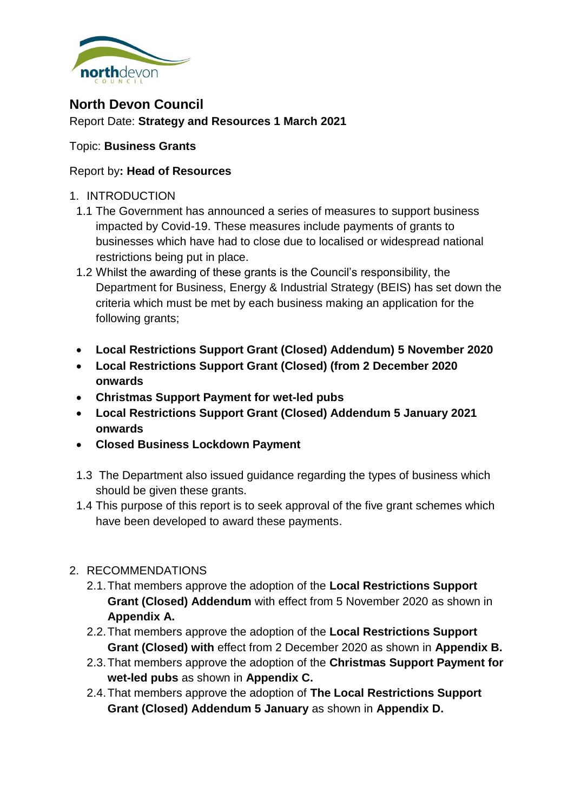

# **North Devon Council** Report Date: **Strategy and Resources 1 March 2021**

# Topic: **Business Grants**

## Report by**: Head of Resources**

### 1. INTRODUCTION

- 1.1 The Government has announced a series of measures to support business impacted by Covid-19. These measures include payments of grants to businesses which have had to close due to localised or widespread national restrictions being put in place.
- 1.2 Whilst the awarding of these grants is the Council's responsibility, the Department for Business, Energy & Industrial Strategy (BEIS) has set down the criteria which must be met by each business making an application for the following grants;
- **Local Restrictions Support Grant (Closed) Addendum) 5 November 2020**
- **Local Restrictions Support Grant (Closed) (from 2 December 2020 onwards**
- **Christmas Support Payment for wet-led pubs**
- **Local Restrictions Support Grant (Closed) Addendum 5 January 2021 onwards**
- **Closed Business Lockdown Payment**
- 1.3 The Department also issued guidance regarding the types of business which should be given these grants.
- 1.4 This purpose of this report is to seek approval of the five grant schemes which have been developed to award these payments.

# 2. RECOMMENDATIONS

- 2.1.That members approve the adoption of the **Local Restrictions Support Grant (Closed) Addendum** with effect from 5 November 2020 as shown in **Appendix A.**
- 2.2.That members approve the adoption of the **Local Restrictions Support Grant (Closed) with** effect from 2 December 2020 as shown in **Appendix B.**
- 2.3.That members approve the adoption of the **Christmas Support Payment for wet-led pubs** as shown in **Appendix C.**
- 2.4.That members approve the adoption of **The Local Restrictions Support Grant (Closed) Addendum 5 January** as shown in **Appendix D.**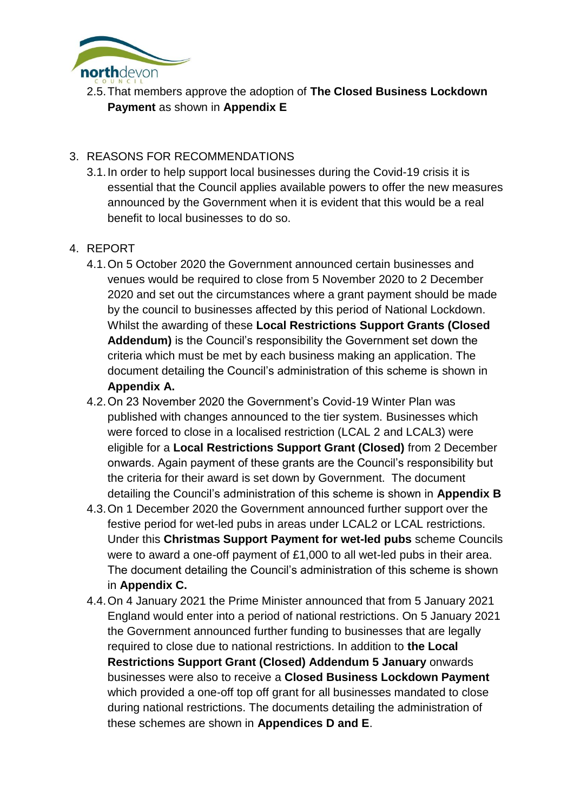

2.5.That members approve the adoption of **The Closed Business Lockdown Payment** as shown in **Appendix E**

## 3. REASONS FOR RECOMMENDATIONS

3.1.In order to help support local businesses during the Covid-19 crisis it is essential that the Council applies available powers to offer the new measures announced by the Government when it is evident that this would be a real benefit to local businesses to do so.

## 4. REPORT

- 4.1.On 5 October 2020 the Government announced certain businesses and venues would be required to close from 5 November 2020 to 2 December 2020 and set out the circumstances where a grant payment should be made by the council to businesses affected by this period of National Lockdown. Whilst the awarding of these **Local Restrictions Support Grants (Closed Addendum)** is the Council's responsibility the Government set down the criteria which must be met by each business making an application. The document detailing the Council's administration of this scheme is shown in **Appendix A.**
- 4.2.On 23 November 2020 the Government's Covid-19 Winter Plan was published with changes announced to the tier system. Businesses which were forced to close in a localised restriction (LCAL 2 and LCAL3) were eligible for a **Local Restrictions Support Grant (Closed)** from 2 December onwards. Again payment of these grants are the Council's responsibility but the criteria for their award is set down by Government. The document detailing the Council's administration of this scheme is shown in **Appendix B**
- 4.3.On 1 December 2020 the Government announced further support over the festive period for wet-led pubs in areas under LCAL2 or LCAL restrictions. Under this **Christmas Support Payment for wet-led pubs** scheme Councils were to award a one-off payment of £1,000 to all wet-led pubs in their area. The document detailing the Council's administration of this scheme is shown in **Appendix C.**
- 4.4.On 4 January 2021 the Prime Minister announced that from 5 January 2021 England would enter into a period of national restrictions. On 5 January 2021 the Government announced further funding to businesses that are legally required to close due to national restrictions. In addition to **the Local Restrictions Support Grant (Closed) Addendum 5 January** onwards businesses were also to receive a **Closed Business Lockdown Payment** which provided a one-off top off grant for all businesses mandated to close during national restrictions. The documents detailing the administration of these schemes are shown in **Appendices D and E**.